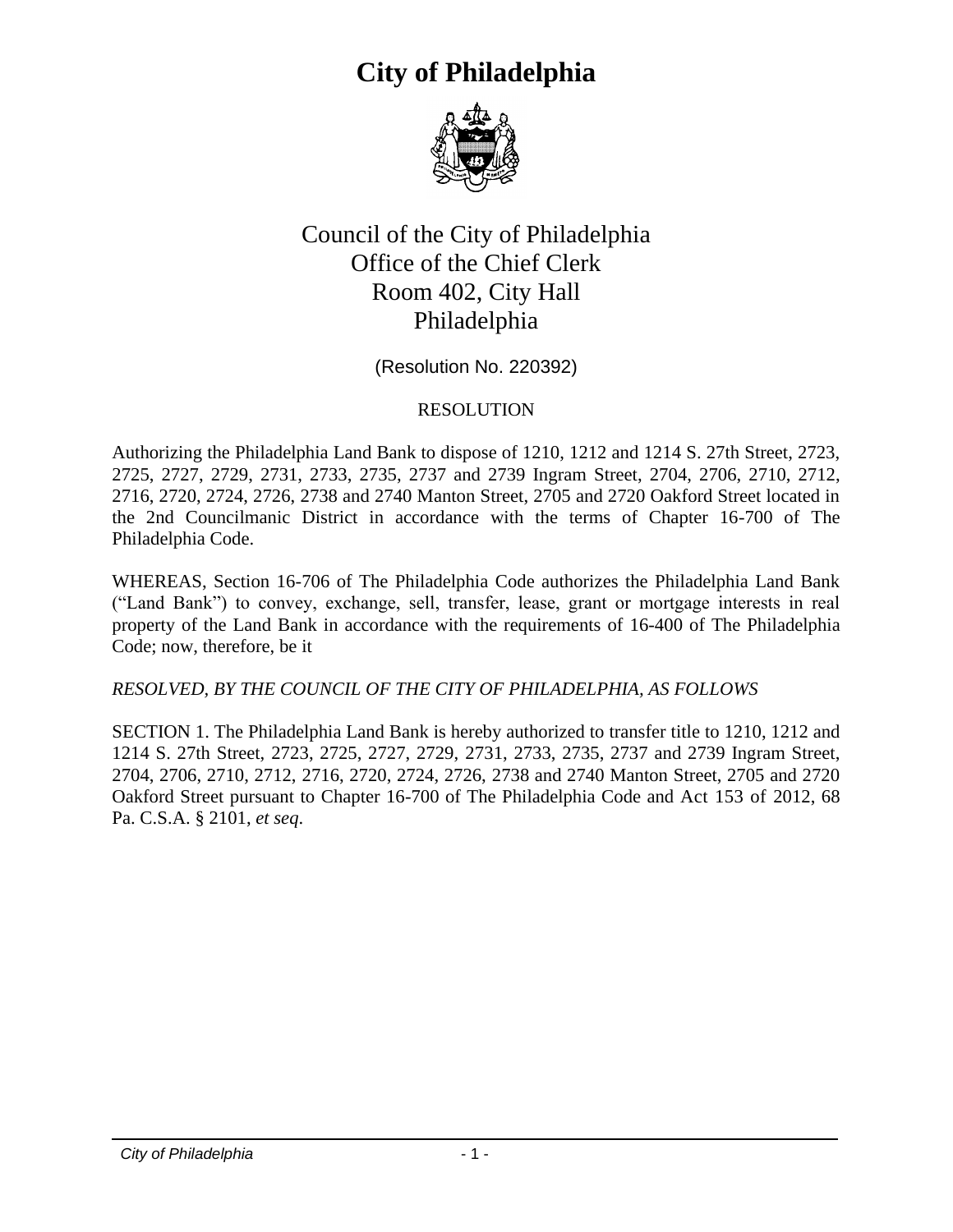## **City of Philadelphia**



## Council of the City of Philadelphia Office of the Chief Clerk Room 402, City Hall Philadelphia

(Resolution No. 220392)

## RESOLUTION

Authorizing the Philadelphia Land Bank to dispose of 1210, 1212 and 1214 S. 27th Street, 2723, 2725, 2727, 2729, 2731, 2733, 2735, 2737 and 2739 Ingram Street, 2704, 2706, 2710, 2712, 2716, 2720, 2724, 2726, 2738 and 2740 Manton Street, 2705 and 2720 Oakford Street located in the 2nd Councilmanic District in accordance with the terms of Chapter 16-700 of The Philadelphia Code.

WHEREAS, Section 16-706 of The Philadelphia Code authorizes the Philadelphia Land Bank ("Land Bank") to convey, exchange, sell, transfer, lease, grant or mortgage interests in real property of the Land Bank in accordance with the requirements of 16-400 of The Philadelphia Code; now, therefore, be it

*RESOLVED, BY THE COUNCIL OF THE CITY OF PHILADELPHIA, AS FOLLOWS*

SECTION 1. The Philadelphia Land Bank is hereby authorized to transfer title to 1210, 1212 and 1214 S. 27th Street, 2723, 2725, 2727, 2729, 2731, 2733, 2735, 2737 and 2739 Ingram Street, 2704, 2706, 2710, 2712, 2716, 2720, 2724, 2726, 2738 and 2740 Manton Street, 2705 and 2720 Oakford Street pursuant to Chapter 16-700 of The Philadelphia Code and Act 153 of 2012, 68 Pa. C.S.A. § 2101, *et seq*.